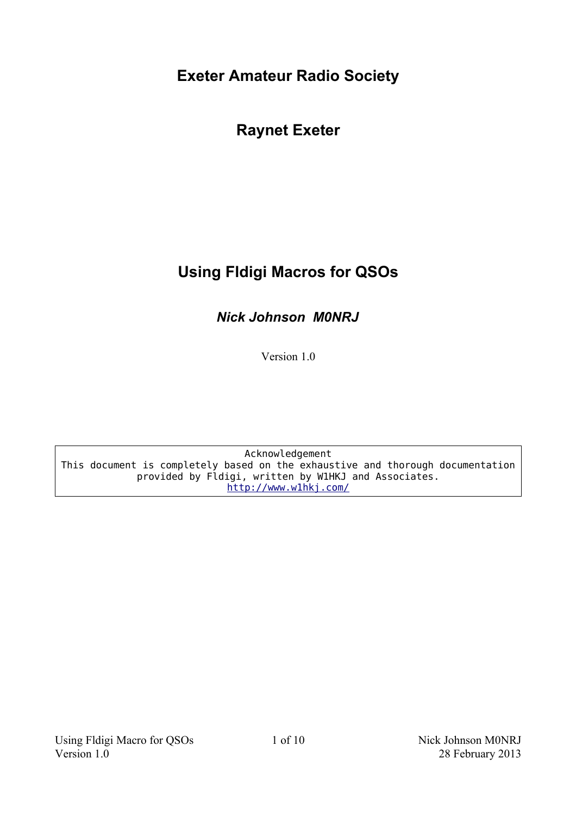**Exeter Amateur Radio Society**

**Raynet Exeter**

# **Using Fldigi Macros for QSOs**

*Nick Johnson M0NRJ*

Version 1.0

Acknowledgement This document is completely based on the exhaustive and thorough documentation provided by Fldigi, written by W1HKJ and Associates. <http://www.w1hkj.com/>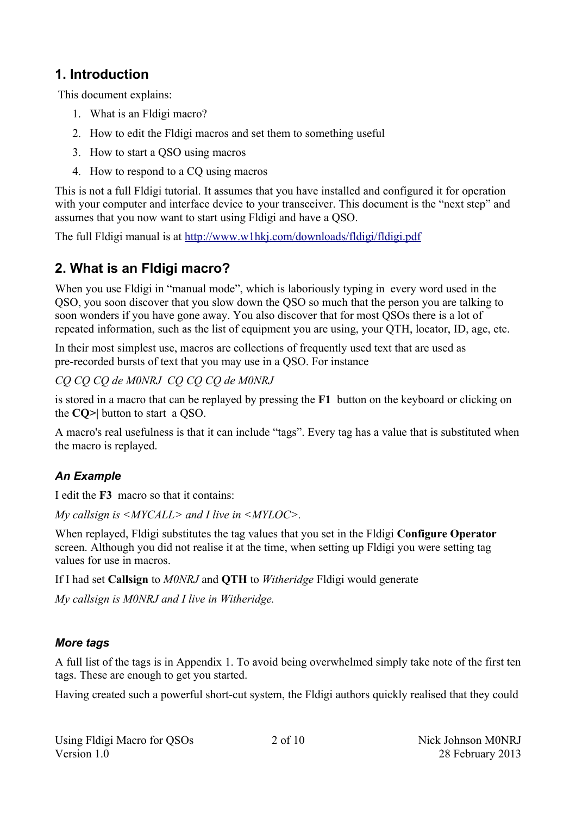### **1. Introduction**

This document explains:

- 1. What is an Fldigi macro?
- 2. How to edit the Fldigi macros and set them to something useful
- 3. How to start a QSO using macros
- 4. How to respond to a CQ using macros

This is not a full Fldigi tutorial. It assumes that you have installed and configured it for operation with your computer and interface device to your transceiver. This document is the "next step" and assumes that you now want to start using Fldigi and have a QSO.

The full Fldigi manual is at<http://www.w1hkj.com/downloads/fldigi/fldigi.pdf>

### **2. What is an Fldigi macro?**

When you use Fldigi in "manual mode", which is laboriously typing in every word used in the QSO, you soon discover that you slow down the QSO so much that the person you are talking to soon wonders if you have gone away. You also discover that for most QSOs there is a lot of repeated information, such as the list of equipment you are using, your QTH, locator, ID, age, etc.

In their most simplest use, macros are collections of frequently used text that are used as pre-recorded bursts of text that you may use in a QSO. For instance

*CQ CQ CQ de M0NRJ CQ CQ CQ de M0NRJ*

is stored in a macro that can be replayed by pressing the **F1** button on the keyboard or clicking on the **CQ>|** button to start a QSO.

A macro's real usefulness is that it can include "tags". Every tag has a value that is substituted when the macro is replayed.

#### *An Example*

I edit the **F3** macro so that it contains:

*My callsign is <MYCALL> and I live in <MYLOC>.*

When replayed, Fldigi substitutes the tag values that you set in the Fldigi **Configure Operator** screen. Although you did not realise it at the time, when setting up Fldigi you were setting tag values for use in macros.

If I had set **Callsign** to *M0NRJ* and **QTH** to *Witheridge* Fldigi would generate

*My callsign is M0NRJ and I live in Witheridge.*

#### *More tags*

A full list of the tags is in Appendix 1. To avoid being overwhelmed simply take note of the first ten tags. These are enough to get you started.

Having created such a powerful short-cut system, the Fldigi authors quickly realised that they could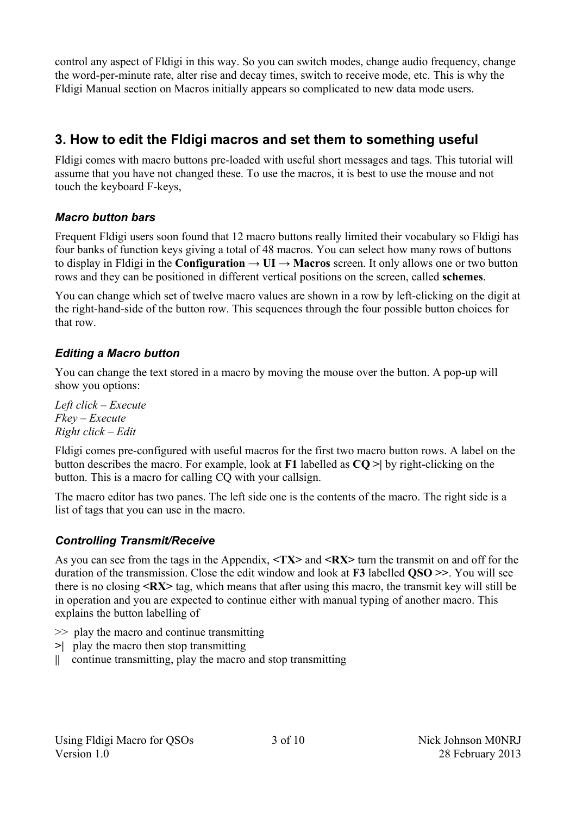control any aspect of Fldigi in this way. So you can switch modes, change audio frequency, change the word-per-minute rate, alter rise and decay times, switch to receive mode, etc. This is why the Fldigi Manual section on Macros initially appears so complicated to new data mode users.

## **3. How to edit the Fldigi macros and set them to something useful**

Fldigi comes with macro buttons pre-loaded with useful short messages and tags. This tutorial will assume that you have not changed these. To use the macros, it is best to use the mouse and not touch the keyboard F-keys,

#### *Macro button bars*

Frequent Fldigi users soon found that 12 macro buttons really limited their vocabulary so Fldigi has four banks of function keys giving a total of 48 macros. You can select how many rows of buttons to display in Fldigi in the **Configuration**  $\rightarrow$  **UI**  $\rightarrow$  **Macros** screen. It only allows one or two button rows and they can be positioned in different vertical positions on the screen, called **schemes**.

You can change which set of twelve macro values are shown in a row by left-clicking on the digit at the right-hand-side of the button row. This sequences through the four possible button choices for that row.

#### *Editing a Macro button*

You can change the text stored in a macro by moving the mouse over the button. A pop-up will show you options:

*Left click – Execute Fkey – Execute Right click – Edit*

Fldigi comes pre-configured with useful macros for the first two macro button rows. A label on the button describes the macro. For example, look at **F1** labelled as **CQ >|** by right-clicking on the button. This is a macro for calling CQ with your callsign.

The macro editor has two panes. The left side one is the contents of the macro. The right side is a list of tags that you can use in the macro.

#### *Controlling Transmit/Receive*

As you can see from the tags in the Appendix, **<TX>** and **<RX>** turn the transmit on and off for the duration of the transmission. Close the edit window and look at **F3** labelled **QSO >>**. You will see there is no closing **<RX>** tag, which means that after using this macro, the transmit key will still be in operation and you are expected to continue either with manual typing of another macro. This explains the button labelling of

- >> play the macro and continue transmitting
- **>|** play the macro then stop transmitting
- **||** continue transmitting, play the macro and stop transmitting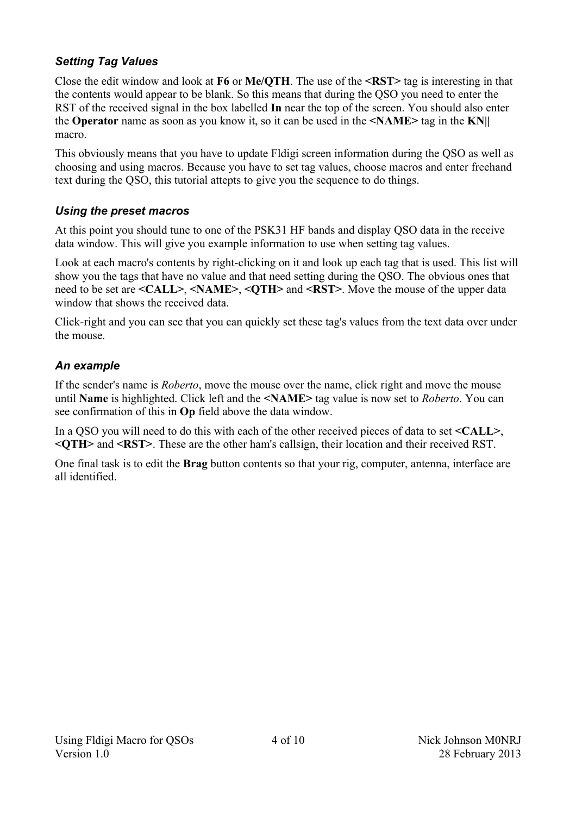#### *Setting Tag Values*

Close the edit window and look at **F6** or **Me/QTH**. The use of the **<RST>** tag is interesting in that the contents would appear to be blank. So this means that during the QSO you need to enter the RST of the received signal in the box labelled **In** near the top of the screen. You should also enter the **Operator** name as soon as you know it, so it can be used in the **<NAME>** tag in the **KN||** macro.

This obviously means that you have to update Fldigi screen information during the QSO as well as choosing and using macros. Because you have to set tag values, choose macros and enter freehand text during the QSO, this tutorial attepts to give you the sequence to do things.

#### *Using the preset macros*

At this point you should tune to one of the PSK31 HF bands and display QSO data in the receive data window. This will give you example information to use when setting tag values.

Look at each macro's contents by right-clicking on it and look up each tag that is used. This list will show you the tags that have no value and that need setting during the QSO. The obvious ones that need to be set are **<CALL>**, **<NAME>**, **<QTH>** and **<RST>**. Move the mouse of the upper data window that shows the received data.

Click-right and you can see that you can quickly set these tag's values from the text data over under the mouse.

#### *An example*

If the sender's name is *Roberto*, move the mouse over the name, click right and move the mouse until **Name** is highlighted. Click left and the **<NAME>** tag value is now set to *Roberto*. You can see confirmation of this in **Op** field above the data window.

In a QSO you will need to do this with each of the other received pieces of data to set **<CALL>**, **<QTH>** and **<RST>**. These are the other ham's callsign, their location and their received RST.

One final task is to edit the **Brag** button contents so that your rig, computer, antenna, interface are all identified.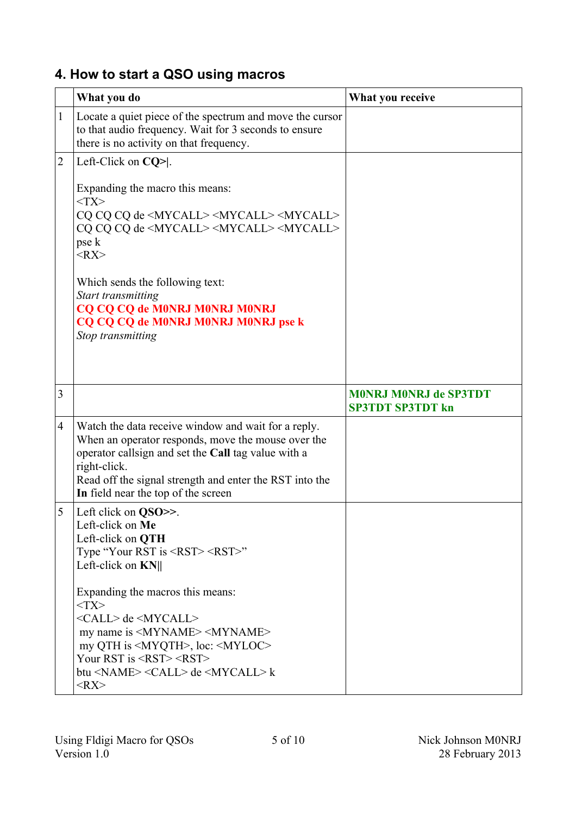# **4. How to start a QSO using macros**

|                          | What you do                                                                                                                                                                                                                                                                                                                                                                                                                                                                                                    | What you receive                                        |
|--------------------------|----------------------------------------------------------------------------------------------------------------------------------------------------------------------------------------------------------------------------------------------------------------------------------------------------------------------------------------------------------------------------------------------------------------------------------------------------------------------------------------------------------------|---------------------------------------------------------|
| $\mathbf{1}$             | Locate a quiet piece of the spectrum and move the cursor<br>to that audio frequency. Wait for 3 seconds to ensure<br>there is no activity on that frequency.                                                                                                                                                                                                                                                                                                                                                   |                                                         |
| $\overline{c}$           | Left-Click on $CQ$ > .<br>Expanding the macro this means:<br>$<$ TX $>$<br>CQ CQ CQ de <mycall> <mycall> <mycall><br/>CQ CQ CQ de <mycall> <mycall> <mycall><br/>pse k<br/><math>&lt;</math>RX<math>&gt;</math><br/>Which sends the following text:<br/>Start transmitting<br/>CQ CQ CQ de M0NRJ M0NRJ M0NRJ<br/>CQ CQ CQ de M0NRJ M0NRJ M0NRJ pse k<br/>Stop transmitting</mycall></mycall></mycall></mycall></mycall></mycall>                                                                               |                                                         |
| 3                        |                                                                                                                                                                                                                                                                                                                                                                                                                                                                                                                | <b>MONRJ MONRJ de SP3TDT</b><br><b>SP3TDT SP3TDT kn</b> |
| $\overline{\mathcal{A}}$ | Watch the data receive window and wait for a reply.<br>When an operator responds, move the mouse over the<br>operator callsign and set the Call tag value with a<br>right-click.<br>Read off the signal strength and enter the RST into the<br>In field near the top of the screen                                                                                                                                                                                                                             |                                                         |
| 5                        | Left click on QSO>>.<br>Left-click on Me<br>Left-click on <b>QTH</b><br>Type "Your RST is $\langle RST \rangle \langle RST \rangle$ "<br>Left-click on <b>KN</b>   <br>Expanding the macros this means:<br>$<$ TX $>$<br><call> de <mycall><br/>my name is <myname> <myname><br/>my QTH is <myqth>, loc: <myloc><br/>Your RST is <rst> <rst><br/>btu <name> <call> de <mycall> k<br/><math>&lt;</math>RX<math>&gt;</math></mycall></call></name></rst></rst></myloc></myqth></myname></myname></mycall></call> |                                                         |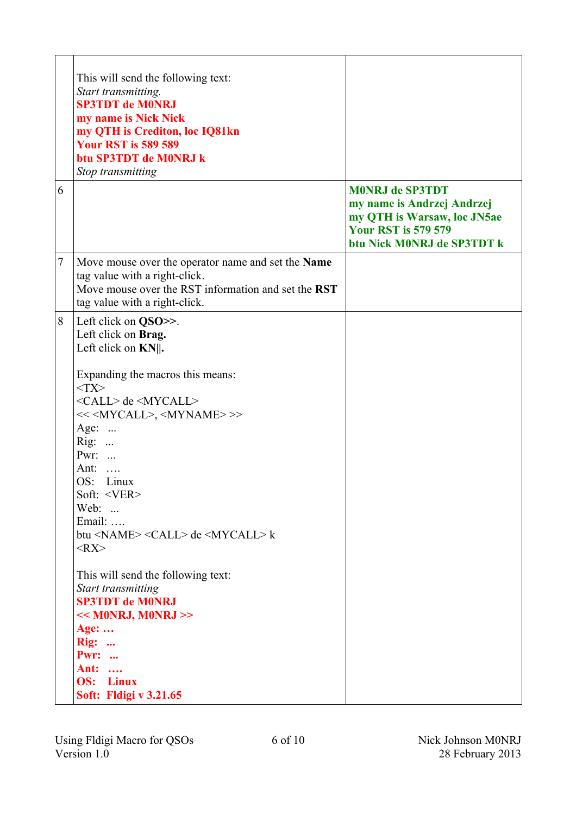|   | This will send the following text:<br>Start transmitting.<br><b>SP3TDT de M0NRJ</b><br>my name is Nick Nick<br>my QTH is Crediton, loc IQ81kn<br><b>Your RST is 589 589</b><br>btu SP3TDT de M0NRJ k<br>Stop transmitting                                                                                                                                                                                                                                                                                                                                                                                                                                                                                                                                                               |                                                                                                                                                 |
|---|-----------------------------------------------------------------------------------------------------------------------------------------------------------------------------------------------------------------------------------------------------------------------------------------------------------------------------------------------------------------------------------------------------------------------------------------------------------------------------------------------------------------------------------------------------------------------------------------------------------------------------------------------------------------------------------------------------------------------------------------------------------------------------------------|-------------------------------------------------------------------------------------------------------------------------------------------------|
| 6 |                                                                                                                                                                                                                                                                                                                                                                                                                                                                                                                                                                                                                                                                                                                                                                                         | <b>MONRJ de SP3TDT</b><br>my name is Andrzej Andrzej<br>my QTH is Warsaw, loc JN5ae<br><b>Your RST is 579 579</b><br>btu Nick M0NRJ de SP3TDT k |
| 7 | Move mouse over the operator name and set the Name<br>tag value with a right-click.<br>Move mouse over the RST information and set the RST<br>tag value with a right-click.                                                                                                                                                                                                                                                                                                                                                                                                                                                                                                                                                                                                             |                                                                                                                                                 |
| 8 | Left click on QSO>>.<br>Left click on Brag.<br>Left click on $KN$ .<br>Expanding the macros this means:<br>$<$ TX $>$<br><call> de <mycall><br/>&lt;&lt;<mycall>, <myname>&gt;&gt;<br/>Age: <math>\dots</math><br/><math>Rig: \dots</math><br/>Pwr: <br/>Ant: <math>\dots</math><br/>OS: Linux<br/>Soft: <ver><br/>Web: <br/>Email: <br/>btu <name> &lt;<math>CALL</math>&gt; de &lt;<math>MYCALL</math> k<br/><math>&lt;</math>RX<math>&gt;</math><br/>This will send the following text:<br/>Start transmitting<br/><b>SP3TDT de M0NRJ</b><br/><math>&lt;&lt;</math> M0NRJ, M0NRJ &gt;&gt;<br/>Age: <math>\dots</math><br/><math>\text{Rig}:</math> <br/><b>Pwr: </b><br/><b>Ant:</b> <br/><b>OS:</b> Linux<br/>Soft: Fldigi v 3.21.65</name></ver></myname></mycall></mycall></call> |                                                                                                                                                 |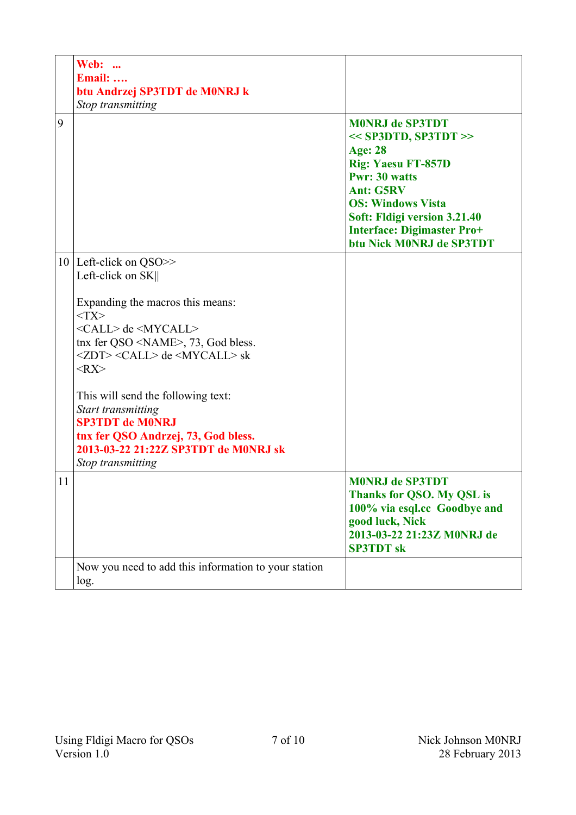|    | <b>Web: </b><br><b>Email:</b><br>btu Andrzej SP3TDT de M0NRJ k<br>Stop transmitting                                                                                                                                                                                                                                                                                                                                                                                                 |                                                                                                                                                                                                                                                                          |
|----|-------------------------------------------------------------------------------------------------------------------------------------------------------------------------------------------------------------------------------------------------------------------------------------------------------------------------------------------------------------------------------------------------------------------------------------------------------------------------------------|--------------------------------------------------------------------------------------------------------------------------------------------------------------------------------------------------------------------------------------------------------------------------|
| 9  |                                                                                                                                                                                                                                                                                                                                                                                                                                                                                     | <b>MONRJ de SP3TDT</b><br>$<<$ SP3DTD, SP3TDT >><br><b>Age: 28</b><br><b>Rig: Yaesu FT-857D</b><br><b>Pwr: 30 watts</b><br><b>Ant: G5RV</b><br><b>OS: Windows Vista</b><br>Soft: Fldigi version 3.21.40<br><b>Interface: Digimaster Pro+</b><br>btu Nick M0NRJ de SP3TDT |
|    | 10   Left-click on QSO>><br>Left-click on SK  <br>Expanding the macros this means:<br>$<$ TX $>$<br><call> de <mycall><br/>tnx fer QSO <name>, 73, God bless.<br/><zdt> <call> de <mycall> sk<br/><math>&lt;</math>RX<math>&gt;</math><br/>This will send the following text:<br/>Start transmitting<br/><b>SP3TDT de M0NRJ</b><br/>tnx fer QSO Andrzej, 73, God bless.<br/>2013-03-22 21:22Z SP3TDT de M0NRJ sk<br/>Stop transmitting</mycall></call></zdt></name></mycall></call> |                                                                                                                                                                                                                                                                          |
| 11 |                                                                                                                                                                                                                                                                                                                                                                                                                                                                                     | <b>MONRJ de SP3TDT</b><br><b>Thanks for QSO. My QSL is</b><br>100% via esql.cc Goodbye and<br>good luck, Nick<br>2013-03-22 21:23Z M0NRJ de<br><b>SP3TDT</b> sk                                                                                                          |
|    | Now you need to add this information to your station<br>log.                                                                                                                                                                                                                                                                                                                                                                                                                        |                                                                                                                                                                                                                                                                          |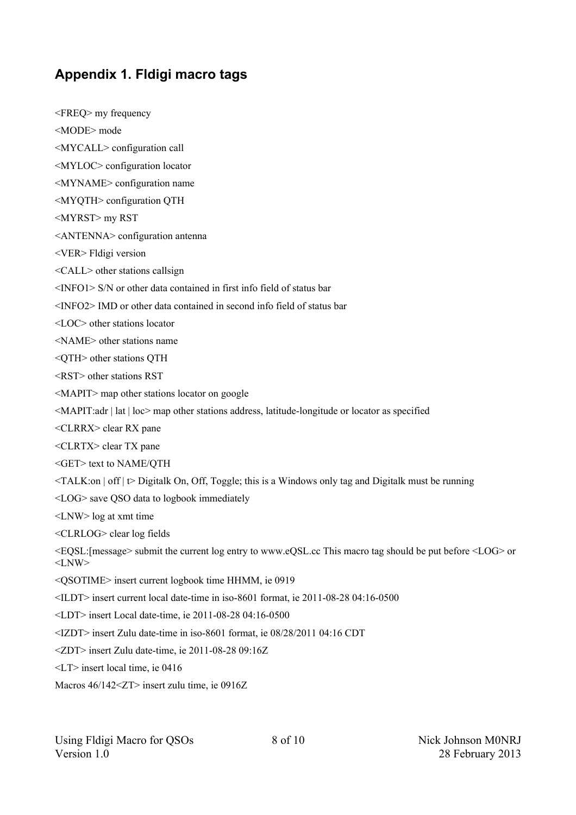### **Appendix 1. Fldigi macro tags**

<FREQ> my frequency <MODE> mode <MYCALL> configuration call <MYLOC> configuration locator <MYNAME> configuration name <MYQTH> configuration QTH <MYRST> my RST <ANTENNA> configuration antenna <VER> Fldigi version <CALL> other stations callsign <INFO1> S/N or other data contained in first info field of status bar <INFO2> IMD or other data contained in second info field of status bar <LOC> other stations locator <NAME> other stations name  $\leq$ OTH $>$  other stations OTH <RST> other stations RST <MAPIT> map other stations locator on google <MAPIT:adr | lat | loc> map other stations address, latitude-longitude or locator as specified <CLRRX> clear RX pane <CLRTX> clear TX pane <GET> text to NAME/QTH <TALK:on | off | t> Digitalk On, Off, Toggle; this is a Windows only tag and Digitalk must be running <LOG> save QSO data to logbook immediately <LNW> log at xmt time <CLRLOG> clear log fields <EQSL:[message> submit the current log entry to www.eQSL.cc This macro tag should be put before <LOG> or  $<$ LNW $>$ <QSOTIME> insert current logbook time HHMM, ie 0919 <ILDT> insert current local date-time in iso-8601 format, ie 2011-08-28 04:16-0500 <LDT> insert Local date-time, ie 2011-08-28 04:16-0500 <IZDT> insert Zulu date-time in iso-8601 format, ie 08/28/2011 04:16 CDT <ZDT> insert Zulu date-time, ie 2011-08-28 09:16Z <LT> insert local time, ie 0416 Macros 46/142<ZT> insert zulu time, ie 0916Z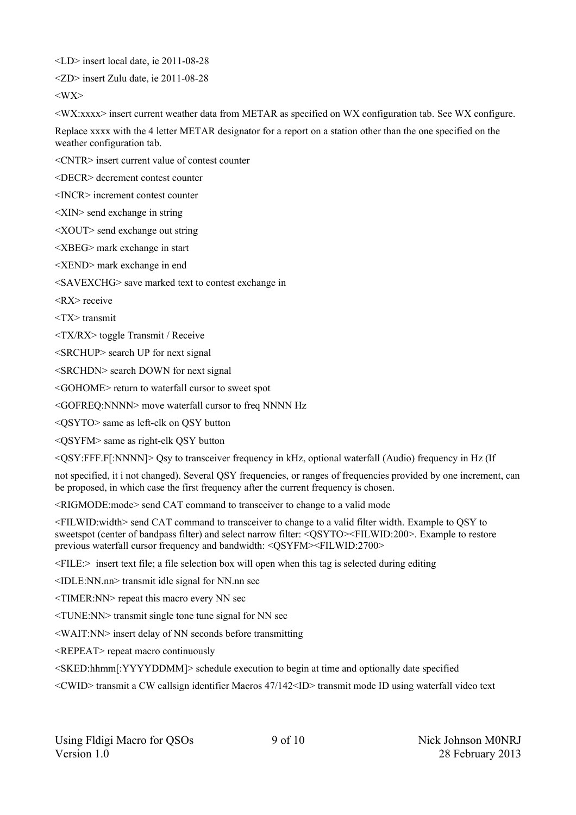<LD> insert local date, ie 2011-08-28

<ZD> insert Zulu date, ie 2011-08-28

 $\langle$ WX $\rangle$ 

 $\langle$ WX:xxx $\rangle$  insert current weather data from METAR as specified on WX configuration tab. See WX configure.

Replace xxxx with the 4 letter METAR designator for a report on a station other than the one specified on the weather configuration tab.

<CNTR> insert current value of contest counter

<DECR> decrement contest counter

<INCR> increment contest counter

<XIN> send exchange in string

<XOUT> send exchange out string

<XBEG> mark exchange in start

<XEND> mark exchange in end

<SAVEXCHG> save marked text to contest exchange in

<RX> receive

<TX> transmit

<TX/RX> toggle Transmit / Receive

<SRCHUP> search UP for next signal

<SRCHDN> search DOWN for next signal

<GOHOME> return to waterfall cursor to sweet spot

<GOFREQ:NNNN> move waterfall cursor to freq NNNN Hz

<QSYTO> same as left-clk on QSY button

<QSYFM> same as right-clk QSY button

<QSY:FFF.F[:NNNN]> Qsy to transceiver frequency in kHz, optional waterfall (Audio) frequency in Hz (If

not specified, it i not changed). Several QSY frequencies, or ranges of frequencies provided by one increment, can be proposed, in which case the first frequency after the current frequency is chosen.

<RIGMODE:mode> send CAT command to transceiver to change to a valid mode

<FILWID:width> send CAT command to transceiver to change to a valid filter width. Example to QSY to sweetspot (center of bandpass filter) and select narrow filter: <QSYTO><FILWID:200>. Example to restore previous waterfall cursor frequency and bandwidth: <QSYFM><FILWID:2700>

 $\leq$  FILE: $>$  insert text file; a file selection box will open when this tag is selected during editing

<IDLE:NN.nn> transmit idle signal for NN.nn sec

<TIMER:NN> repeat this macro every NN sec

<TUNE:NN> transmit single tone tune signal for NN sec

<WAIT:NN> insert delay of NN seconds before transmitting

<REPEAT> repeat macro continuously

<SKED:hhmm[:YYYYDDMM]> schedule execution to begin at time and optionally date specified

<CWID> transmit a CW callsign identifier Macros 47/142<ID> transmit mode ID using waterfall video text